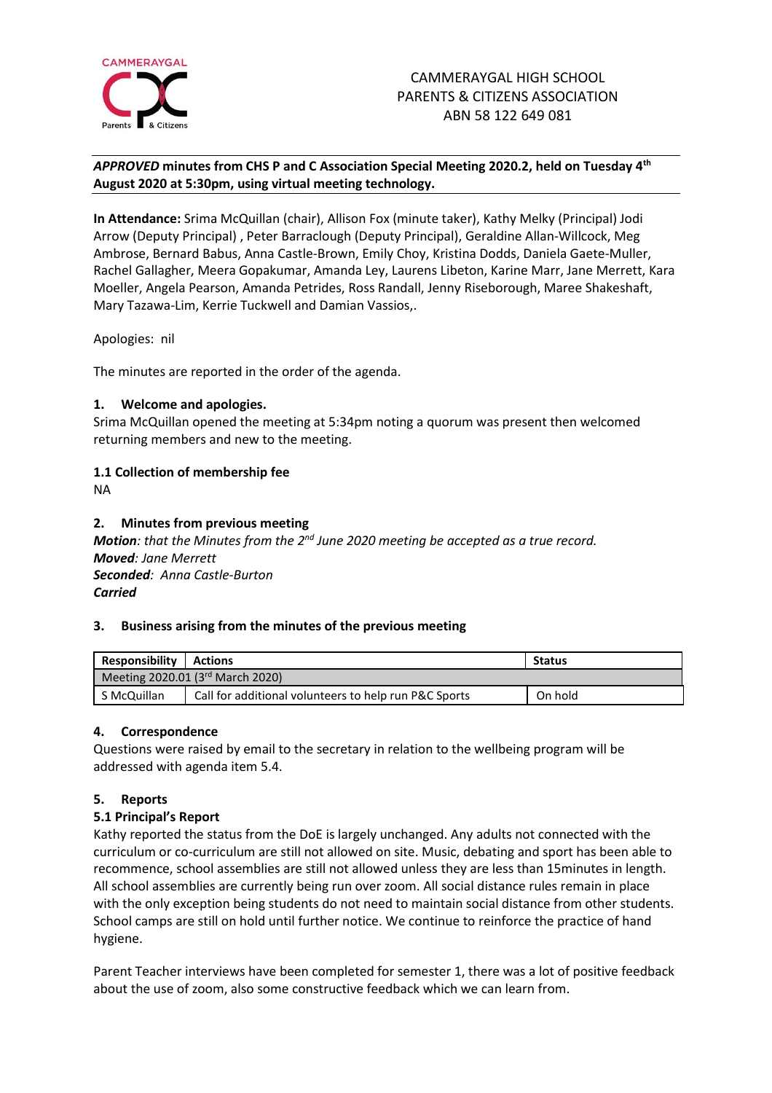

## *APPROVED* **minutes from CHS P and C Association Special Meeting 2020.2, held on Tuesday 4 th August 2020 at 5:30pm, using virtual meeting technology.**

**In Attendance:** Srima McQuillan (chair), Allison Fox (minute taker), Kathy Melky (Principal) Jodi Arrow (Deputy Principal) , Peter Barraclough (Deputy Principal), Geraldine Allan-Willcock, Meg Ambrose, Bernard Babus, Anna Castle-Brown, Emily Choy, Kristina Dodds, Daniela Gaete-Muller, Rachel Gallagher, Meera Gopakumar, Amanda Ley, Laurens Libeton, Karine Marr, Jane Merrett, Kara Moeller, Angela Pearson, Amanda Petrides, Ross Randall, Jenny Riseborough, Maree Shakeshaft, Mary Tazawa-Lim, Kerrie Tuckwell and Damian Vassios,.

Apologies: nil

The minutes are reported in the order of the agenda.

## **1. Welcome and apologies.**

Srima McQuillan opened the meeting at 5:34pm noting a quorum was present then welcomed returning members and new to the meeting.

# **1.1 Collection of membership fee**

NA

### **2. Minutes from previous meeting**

*Motion: that the Minutes from the 2<sup>nd</sup> June 2020 meeting be accepted as a true record. Moved: Jane Merrett Seconded: Anna Castle-Burton Carried*

### **3. Business arising from the minutes of the previous meeting**

| <b>Responsibility</b>            | <b>Actions</b>                                        | <b>Status</b> |
|----------------------------------|-------------------------------------------------------|---------------|
| Meeting 2020.01 (3rd March 2020) |                                                       |               |
| S McQuillan                      | Call for additional volunteers to help run P&C Sports | On hold       |

### **4. Correspondence**

Questions were raised by email to the secretary in relation to the wellbeing program will be addressed with agenda item 5.4.

# **5. Reports**

### **5.1 Principal's Report**

Kathy reported the status from the DoE is largely unchanged. Any adults not connected with the curriculum or co-curriculum are still not allowed on site. Music, debating and sport has been able to recommence, school assemblies are still not allowed unless they are less than 15minutes in length. All school assemblies are currently being run over zoom. All social distance rules remain in place with the only exception being students do not need to maintain social distance from other students. School camps are still on hold until further notice. We continue to reinforce the practice of hand hygiene.

Parent Teacher interviews have been completed for semester 1, there was a lot of positive feedback about the use of zoom, also some constructive feedback which we can learn from.